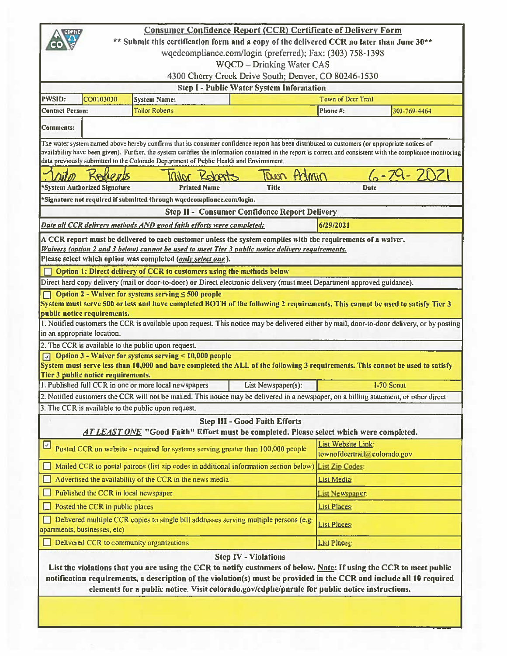|                                                                                |                                                                                                                                              | <b>Consumer Confidence Report (CCR) Certificate of Delivery Form</b>                                                                          |                                                           |                        |                                                                                                                                                               |  |  |  |  |  |
|--------------------------------------------------------------------------------|----------------------------------------------------------------------------------------------------------------------------------------------|-----------------------------------------------------------------------------------------------------------------------------------------------|-----------------------------------------------------------|------------------------|---------------------------------------------------------------------------------------------------------------------------------------------------------------|--|--|--|--|--|
|                                                                                |                                                                                                                                              | ** Submit this certification form and a copy of the delivered CCR no later than June 30**                                                     |                                                           |                        |                                                                                                                                                               |  |  |  |  |  |
|                                                                                |                                                                                                                                              |                                                                                                                                               | wqcdcompliance.com/login (preferred); Fax: (303) 758-1398 |                        |                                                                                                                                                               |  |  |  |  |  |
| <b>WQCD</b> - Drinking Water CAS                                               |                                                                                                                                              |                                                                                                                                               |                                                           |                        |                                                                                                                                                               |  |  |  |  |  |
| 4300 Cherry Creek Drive South; Denver, CO 80246-1530                           |                                                                                                                                              |                                                                                                                                               |                                                           |                        |                                                                                                                                                               |  |  |  |  |  |
| <b>Step I - Public Water System Information</b>                                |                                                                                                                                              |                                                                                                                                               |                                                           |                        |                                                                                                                                                               |  |  |  |  |  |
| <b>PWSID:</b><br>CO0103030<br><b>Town of Deer Trail</b><br><b>System Name:</b> |                                                                                                                                              |                                                                                                                                               |                                                           |                        |                                                                                                                                                               |  |  |  |  |  |
| <b>Tailor Roberts</b><br><b>Contact Person:</b><br>Phone#:<br>303-769-4464     |                                                                                                                                              |                                                                                                                                               |                                                           |                        |                                                                                                                                                               |  |  |  |  |  |
|                                                                                |                                                                                                                                              |                                                                                                                                               |                                                           |                        |                                                                                                                                                               |  |  |  |  |  |
| Comments:                                                                      |                                                                                                                                              |                                                                                                                                               |                                                           |                        |                                                                                                                                                               |  |  |  |  |  |
|                                                                                |                                                                                                                                              | The water system named above hereby confirms that its consumer confidence report has been distributed to customers (or appropriate notices of |                                                           |                        |                                                                                                                                                               |  |  |  |  |  |
|                                                                                |                                                                                                                                              |                                                                                                                                               |                                                           |                        | availability have been given). Further, the system certifies the information contained in the report is correct and consistent with the compliance monitoring |  |  |  |  |  |
|                                                                                |                                                                                                                                              | data previously submitted to the Colorado Department of Public Health and Environment.                                                        |                                                           |                        |                                                                                                                                                               |  |  |  |  |  |
|                                                                                |                                                                                                                                              | Kober                                                                                                                                         | Admin<br>real                                             |                        |                                                                                                                                                               |  |  |  |  |  |
|                                                                                | *System Authorized Signature                                                                                                                 | <b>Printed Name</b>                                                                                                                           | <b>Title</b>                                              |                        | <b>Date</b>                                                                                                                                                   |  |  |  |  |  |
|                                                                                |                                                                                                                                              | *Signature not required if submitted through wqcdcompliance.com/login.                                                                        |                                                           |                        |                                                                                                                                                               |  |  |  |  |  |
|                                                                                |                                                                                                                                              |                                                                                                                                               | <b>Step II - Consumer Confidence Report Delivery</b>      |                        |                                                                                                                                                               |  |  |  |  |  |
|                                                                                |                                                                                                                                              |                                                                                                                                               |                                                           | 6/29/2021              |                                                                                                                                                               |  |  |  |  |  |
|                                                                                |                                                                                                                                              | Date all CCR delivery methods AND good faith efforts were completed:                                                                          |                                                           |                        |                                                                                                                                                               |  |  |  |  |  |
|                                                                                |                                                                                                                                              | A CCR report must be delivered to each customer unless the system complies with the requirements of a waiver.                                 |                                                           |                        |                                                                                                                                                               |  |  |  |  |  |
|                                                                                |                                                                                                                                              | Waivers (option 2 and 3 below) cannot be used to meet Tier 3 public notice delivery requirements.                                             |                                                           |                        |                                                                                                                                                               |  |  |  |  |  |
|                                                                                |                                                                                                                                              | Please select which option was completed (only select one).                                                                                   |                                                           |                        |                                                                                                                                                               |  |  |  |  |  |
|                                                                                |                                                                                                                                              | Option 1: Direct delivery of CCR to customers using the methods below                                                                         |                                                           |                        |                                                                                                                                                               |  |  |  |  |  |
|                                                                                |                                                                                                                                              | Direct hard copy delivery (mail or door-to-door) or Direct electronic delivery (must meet Department approved guidance).                      |                                                           |                        |                                                                                                                                                               |  |  |  |  |  |
|                                                                                |                                                                                                                                              | Option $2$ - Waiver for systems serving $\leq 500$ people                                                                                     |                                                           |                        |                                                                                                                                                               |  |  |  |  |  |
|                                                                                | public notice requirements.                                                                                                                  | System must serve 500 or less and have completed BOTH of the following 2 requirements. This cannot be used to satisfy Tier 3                  |                                                           |                        |                                                                                                                                                               |  |  |  |  |  |
|                                                                                |                                                                                                                                              |                                                                                                                                               |                                                           |                        | 1. Notified customers the CCR is available upon request. This notice may be delivered either by mail, door-to-door delivery, or by posting                    |  |  |  |  |  |
|                                                                                | in an appropriate location.                                                                                                                  |                                                                                                                                               |                                                           |                        |                                                                                                                                                               |  |  |  |  |  |
|                                                                                |                                                                                                                                              | 2. The CCR is available to the public upon request.                                                                                           |                                                           |                        |                                                                                                                                                               |  |  |  |  |  |
|                                                                                |                                                                                                                                              | $\sqrt{2}$ Option 3 - Waiver for systems serving < 10,000 people                                                                              |                                                           |                        |                                                                                                                                                               |  |  |  |  |  |
|                                                                                |                                                                                                                                              | System must serve less than 10,000 and have completed the ALL of the following 3 requirements. This cannot be used to satisfy                 |                                                           |                        |                                                                                                                                                               |  |  |  |  |  |
|                                                                                | Tier 3 public notice requirements.                                                                                                           |                                                                                                                                               |                                                           |                        |                                                                                                                                                               |  |  |  |  |  |
|                                                                                |                                                                                                                                              | 1. Published full CCR in one or more local newspapers                                                                                         | List Newspaper(s):                                        |                        | <b>I-70 Scout</b>                                                                                                                                             |  |  |  |  |  |
|                                                                                |                                                                                                                                              | 2. Notified customers the CCR will not be mailed. This notice may be delivered in a newspaper, on a billing statement, or other direct        |                                                           |                        |                                                                                                                                                               |  |  |  |  |  |
|                                                                                |                                                                                                                                              | 3. The CCR is available to the public upon request.                                                                                           |                                                           |                        |                                                                                                                                                               |  |  |  |  |  |
|                                                                                |                                                                                                                                              |                                                                                                                                               | <b>Step III - Good Faith Efforts</b>                      |                        |                                                                                                                                                               |  |  |  |  |  |
|                                                                                |                                                                                                                                              | <b>AT LEAST ONE</b> "Good Faith" Effort must be completed. Please select which were completed.                                                |                                                           |                        |                                                                                                                                                               |  |  |  |  |  |
| ⊡                                                                              |                                                                                                                                              | Posted CCR on website - required for systems serving greater than 100,000 people                                                              |                                                           | List Website Link:     | townofdeertrail@colorado.gov                                                                                                                                  |  |  |  |  |  |
|                                                                                |                                                                                                                                              | Mailed CCR to postal patrons (list zip codes in additional information section below)                                                         |                                                           | <b>List Zip Codes:</b> |                                                                                                                                                               |  |  |  |  |  |
|                                                                                |                                                                                                                                              | Advertised the availability of the CCR in the news media                                                                                      |                                                           | <b>List Media:</b>     |                                                                                                                                                               |  |  |  |  |  |
|                                                                                | Published the CCR in local newspaper                                                                                                         |                                                                                                                                               |                                                           | <b>List Newspaper:</b> |                                                                                                                                                               |  |  |  |  |  |
|                                                                                | Posted the CCR in public places                                                                                                              |                                                                                                                                               |                                                           | <b>List Places:</b>    |                                                                                                                                                               |  |  |  |  |  |
|                                                                                |                                                                                                                                              |                                                                                                                                               |                                                           |                        |                                                                                                                                                               |  |  |  |  |  |
|                                                                                | Delivered multiple CCR copies to single bill addresses serving multiple persons (e.g.<br><b>List Places:</b><br>apartments, businesses, etc) |                                                                                                                                               |                                                           |                        |                                                                                                                                                               |  |  |  |  |  |
|                                                                                |                                                                                                                                              | Delivered CCR to community organizations                                                                                                      |                                                           | <b>List Places:</b>    |                                                                                                                                                               |  |  |  |  |  |
|                                                                                |                                                                                                                                              |                                                                                                                                               | <b>Step IV - Violations</b>                               |                        |                                                                                                                                                               |  |  |  |  |  |
|                                                                                |                                                                                                                                              | List the violations that you are using the CCR to notify customers of below. Note: If using the CCR to meet public                            |                                                           |                        |                                                                                                                                                               |  |  |  |  |  |
|                                                                                |                                                                                                                                              | notification requirements, a description of the violation(s) must be provided in the CCR and include all 10 required                          |                                                           |                        |                                                                                                                                                               |  |  |  |  |  |
|                                                                                |                                                                                                                                              | elements for a public notice. Visit colorado.gov/cdphe/pnrule for public notice instructions.                                                 |                                                           |                        |                                                                                                                                                               |  |  |  |  |  |
|                                                                                |                                                                                                                                              |                                                                                                                                               |                                                           |                        |                                                                                                                                                               |  |  |  |  |  |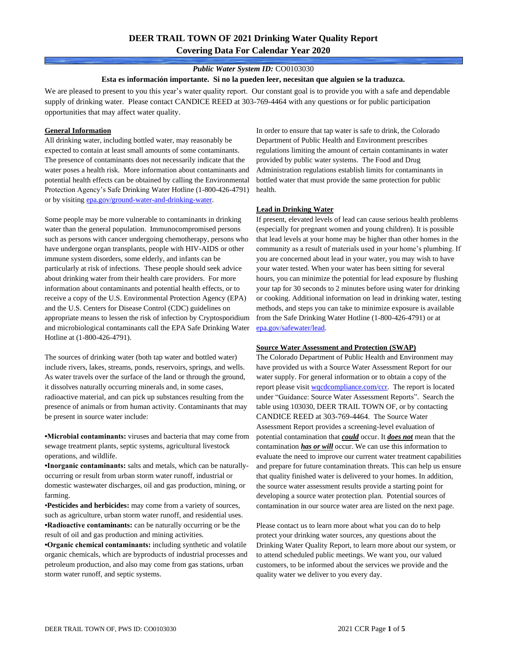### *Public Water System ID:* CO0103030

#### **Esta es información importante. Si no la pueden leer, necesitan que alguien se la traduzca.**

We are pleased to present to you this year's water quality report. Our constant goal is to provide you with a safe and dependable supply of drinking water. Please contact CANDICE REED at 303-769-4464 with any questions or for public participation opportunities that may affect water quality.

### **General Information**

All drinking water, including bottled water, may reasonably be expected to contain at least small amounts of some contaminants. The presence of contaminants does not necessarily indicate that the water poses a health risk. More information about contaminants and potential health effects can be obtained by calling the Environmental Protection Agency's Safe Drinking Water Hotline (1-800-426-4791) or by visiting [epa.gov/ground-water-and-drinking-water.](https://www.epa.gov/ground-water-and-drinking-water)

Some people may be more vulnerable to contaminants in drinking water than the general population. Immunocompromised persons such as persons with cancer undergoing chemotherapy, persons who have undergone organ transplants, people with HIV-AIDS or other immune system disorders, some elderly, and infants can be particularly at risk of infections. These people should seek advice about drinking water from their health care providers. For more information about contaminants and potential health effects, or to receive a copy of the U.S. Environmental Protection Agency (EPA) and the U.S. Centers for Disease Control (CDC) guidelines on appropriate means to lessen the risk of infection by Cryptosporidium and microbiological contaminants call the EPA Safe Drinking Water Hotline at (1-800-426-4791).

The sources of drinking water (both tap water and bottled water) include rivers, lakes, streams, ponds, reservoirs, springs, and wells. As water travels over the surface of the land or through the ground, it dissolves naturally occurring minerals and, in some cases, radioactive material, and can pick up substances resulting from the presence of animals or from human activity. Contaminants that may be present in source water include:

**•Microbial contaminants:** viruses and bacteria that may come from sewage treatment plants, septic systems, agricultural livestock operations, and wildlife.

**•Inorganic contaminants:** salts and metals, which can be naturallyoccurring or result from urban storm water runoff, industrial or domestic wastewater discharges, oil and gas production, mining, or farming.

•**Pesticides and herbicides:** may come from a variety of sources, such as agriculture, urban storm water runoff, and residential uses. **•Radioactive contaminants:** can be naturally occurring or be the result of oil and gas production and mining activities.

**•Organic chemical contaminants:** including synthetic and volatile organic chemicals, which are byproducts of industrial processes and petroleum production, and also may come from gas stations, urban storm water runoff, and septic systems.

In order to ensure that tap water is safe to drink, the Colorado Department of Public Health and Environment prescribes regulations limiting the amount of certain contaminants in water provided by public water systems. The Food and Drug Administration regulations establish limits for contaminants in bottled water that must provide the same protection for public health.

### **Lead in Drinking Water**

If present, elevated levels of lead can cause serious health problems (especially for pregnant women and young children). It is possible that lead levels at your home may be higher than other homes in the community as a result of materials used in your home's plumbing. If you are concerned about lead in your water, you may wish to have your water tested. When your water has been sitting for several hours, you can minimize the potential for lead exposure by flushing your tap for 30 seconds to 2 minutes before using water for drinking or cooking. Additional information on lead in drinking water, testing methods, and steps you can take to minimize exposure is available from the Safe Drinking Water Hotline (1-800-426-4791) or at [epa.gov/safewater/lead.](http://www.epa.gov/safewater/lead) 

#### **Source Water Assessment and Protection (SWAP)**

The Colorado Department of Public Health and Environment may have provided us with a Source Water Assessment Report for our water supply. For general information or to obtain a copy of the report please visit [wqcdcompliance.com/ccr.](https://wqcdcompliance.com/ccr) The report is located under "Guidance: Source Water Assessment Reports". Search the table using 103030, DEER TRAIL TOWN OF, or by contacting CANDICE REED at 303-769-4464. The Source Water Assessment Report provides a screening-level evaluation of potential contamination that *could* occur. It *does not* mean that the contamination *has or will* occur. We can use this information to evaluate the need to improve our current water treatment capabilities and prepare for future contamination threats. This can help us ensure that quality finished water is delivered to your homes. In addition, the source water assessment results provide a starting point for developing a source water protection plan. Potential sources of contamination in our source water area are listed on the next page.

Please contact us to learn more about what you can do to help protect your drinking water sources, any questions about the Drinking Water Quality Report, to learn more about our system, or to attend scheduled public meetings. We want you, our valued customers, to be informed about the services we provide and the quality water we deliver to you every day.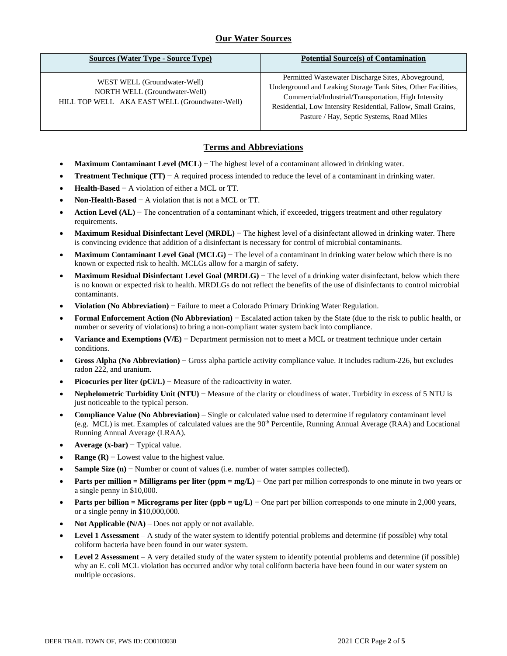# **Our Water Sources**

| <b>Sources (Water Type - Source Type)</b>                                                                       | <b>Potential Source(s) of Contamination</b>                                                                                                                                                                                                                                               |
|-----------------------------------------------------------------------------------------------------------------|-------------------------------------------------------------------------------------------------------------------------------------------------------------------------------------------------------------------------------------------------------------------------------------------|
| WEST WELL (Groundwater-Well)<br>NORTH WELL (Groundwater-Well)<br>HILL TOP WELL AKA EAST WELL (Groundwater-Well) | Permitted Wastewater Discharge Sites, Aboveground,<br>Underground and Leaking Storage Tank Sites, Other Facilities,<br>Commercial/Industrial/Transportation, High Intensity<br>Residential, Low Intensity Residential, Fallow, Small Grains,<br>Pasture / Hay, Septic Systems, Road Miles |

## **Terms and Abbreviations**

- **Maximum Contaminant Level (MCL)** − The highest level of a contaminant allowed in drinking water.
- **Treatment Technique (TT)** − A required process intended to reduce the level of a contaminant in drinking water.
- **Health-Based** − A violation of either a MCL or TT.
- **Non-Health-Based** − A violation that is not a MCL or TT.
- **Action Level (AL)** − The concentration of a contaminant which, if exceeded, triggers treatment and other regulatory requirements.
- **Maximum Residual Disinfectant Level (MRDL)** − The highest level of a disinfectant allowed in drinking water. There is convincing evidence that addition of a disinfectant is necessary for control of microbial contaminants.
- **Maximum Contaminant Level Goal (MCLG)** − The level of a contaminant in drinking water below which there is no known or expected risk to health. MCLGs allow for a margin of safety.
- **Maximum Residual Disinfectant Level Goal (MRDLG)** − The level of a drinking water disinfectant, below which there is no known or expected risk to health. MRDLGs do not reflect the benefits of the use of disinfectants to control microbial contaminants.
- **Violation (No Abbreviation)** − Failure to meet a Colorado Primary Drinking Water Regulation.
- **Formal Enforcement Action (No Abbreviation)** − Escalated action taken by the State (due to the risk to public health, or number or severity of violations) to bring a non-compliant water system back into compliance.
- **Variance and Exemptions (V/E)** − Department permission not to meet a MCL or treatment technique under certain conditions.
- **Gross Alpha (No Abbreviation)** − Gross alpha particle activity compliance value. It includes radium-226, but excludes radon 222, and uranium.
- **Picocuries per liter (pCi/L)** Measure of the radioactivity in water.
- **Nephelometric Turbidity Unit (NTU)** − Measure of the clarity or cloudiness of water. Turbidity in excess of 5 NTU is just noticeable to the typical person.
- **Compliance Value (No Abbreviation)** Single or calculated value used to determine if regulatory contaminant level (e.g. MCL) is met. Examples of calculated values are the 90<sup>th</sup> Percentile, Running Annual Average (RAA) and Locational Running Annual Average (LRAA).
- **Average (x-bar)** − Typical value.
- **Range (R)**  $-$  Lowest value to the highest value.
- **Sample Size (n)** − Number or count of values (i.e. number of water samples collected).
- **Parts per million = Milligrams per liter (ppm = mg/L)** − One part per million corresponds to one minute in two years or a single penny in \$10,000.
- **Parts per billion = Micrograms per liter (ppb = ug/L)** − One part per billion corresponds to one minute in 2,000 years, or a single penny in \$10,000,000.
- **Not Applicable**  $(N/A)$  Does not apply or not available.
- **Level 1 Assessment** A study of the water system to identify potential problems and determine (if possible) why total coliform bacteria have been found in our water system.
- **Level 2 Assessment** A very detailed study of the water system to identify potential problems and determine (if possible) why an E. coli MCL violation has occurred and/or why total coliform bacteria have been found in our water system on multiple occasions.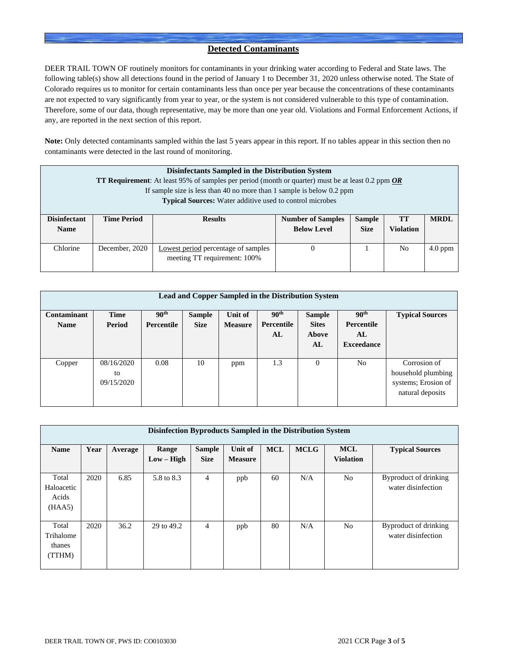## **Detected Contaminants**

DEER TRAIL TOWN OF routinely monitors for contaminants in your drinking water according to Federal and State laws. The following table(s) show all detections found in the period of January 1 to December 31, 2020 unless otherwise noted. The State of Colorado requires us to monitor for certain contaminants less than once per year because the concentrations of these contaminants are not expected to vary significantly from year to year, or the system is not considered vulnerable to this type of contamination. Therefore, some of our data, though representative, may be more than one year old. Violations and Formal Enforcement Actions, if any, are reported in the next section of this report.

**Note:** Only detected contaminants sampled within the last 5 years appear in this report. If no tables appear in this section then no contaminants were detected in the last round of monitoring.

| Disinfectants Sampled in the Distribution System<br><b>TT Requirement:</b> At least 95% of samples per period (month or quarter) must be at least 0.2 ppm $OR$<br>If sample size is less than 40 no more than 1 sample is below 0.2 ppm<br><b>Typical Sources:</b> Water additive used to control microbes |                    |                                                                     |                                                                                                                         |  |    |           |  |  |  |  |
|------------------------------------------------------------------------------------------------------------------------------------------------------------------------------------------------------------------------------------------------------------------------------------------------------------|--------------------|---------------------------------------------------------------------|-------------------------------------------------------------------------------------------------------------------------|--|----|-----------|--|--|--|--|
| <b>Disinfectant</b><br><b>Name</b>                                                                                                                                                                                                                                                                         | <b>Time Period</b> | <b>Results</b>                                                      | <b>MRDL</b><br><b>Number of Samples</b><br><b>Sample</b><br>TT<br><b>Size</b><br><b>Violation</b><br><b>Below Level</b> |  |    |           |  |  |  |  |
| Chlorine                                                                                                                                                                                                                                                                                                   | December, 2020     | Lowest period percentage of samples<br>meeting TT requirement: 100% |                                                                                                                         |  | No | $4.0$ ppm |  |  |  |  |

|                            | <b>Lead and Copper Sampled in the Distribution System</b> |                                       |                              |                           |                                      |                                              |                                                                  |                                                                               |  |  |  |  |  |
|----------------------------|-----------------------------------------------------------|---------------------------------------|------------------------------|---------------------------|--------------------------------------|----------------------------------------------|------------------------------------------------------------------|-------------------------------------------------------------------------------|--|--|--|--|--|
| Contaminant<br><b>Name</b> | <b>Time</b><br>Period                                     | 90 <sup>th</sup><br><b>Percentile</b> | <b>Sample</b><br><b>Size</b> | Unit of<br><b>Measure</b> | 90 <sup>th</sup><br>Percentile<br>AL | <b>Sample</b><br><b>Sites</b><br>Above<br>AL | 90 <sup>th</sup><br><b>Percentile</b><br>AL<br><b>Exceedance</b> | <b>Typical Sources</b>                                                        |  |  |  |  |  |
| Copper                     | 08/16/2020<br>to<br>09/15/2020                            | 0.08                                  | 10                           | ppm                       | 1.3                                  | $\theta$                                     | N <sub>o</sub>                                                   | Corrosion of<br>household plumbing<br>systems; Erosion of<br>natural deposits |  |  |  |  |  |

|                                        | Disinfection Byproducts Sampled in the Distribution System |         |                       |                              |                           |            |             |                                |                                             |  |  |  |
|----------------------------------------|------------------------------------------------------------|---------|-----------------------|------------------------------|---------------------------|------------|-------------|--------------------------------|---------------------------------------------|--|--|--|
| <b>Name</b>                            | Year                                                       | Average | Range<br>$Low - High$ | <b>Sample</b><br><b>Size</b> | Unit of<br><b>Measure</b> | <b>MCL</b> | <b>MCLG</b> | <b>MCL</b><br><b>Violation</b> | <b>Typical Sources</b>                      |  |  |  |
| Total<br>Haloacetic<br>Acids<br>(HAA5) | 2020                                                       | 6.85    | 5.8 to 8.3            | $\overline{4}$               | ppb                       | 60         | N/A         | N <sub>0</sub>                 | Byproduct of drinking<br>water disinfection |  |  |  |
| Total<br>Trihalome<br>thanes<br>(TTHM) | 2020                                                       | 36.2    | 29 to 49.2            | 4                            | ppb                       | 80         | N/A         | N <sub>o</sub>                 | Byproduct of drinking<br>water disinfection |  |  |  |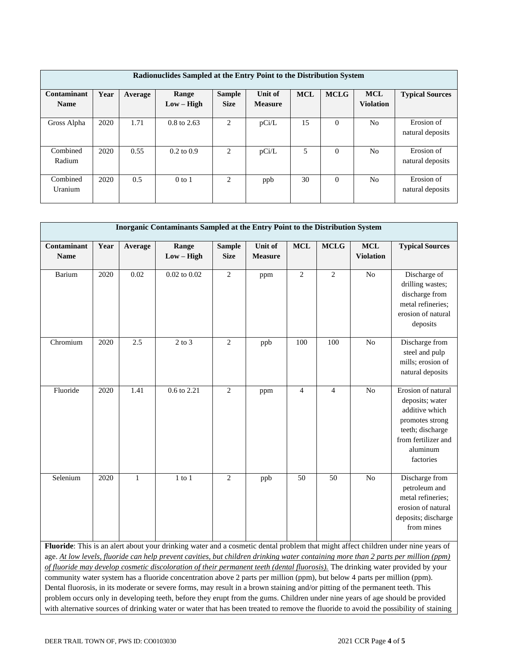| Radionuclides Sampled at the Entry Point to the Distribution System |      |         |                        |                              |                           |            |             |                                |                                |  |  |
|---------------------------------------------------------------------|------|---------|------------------------|------------------------------|---------------------------|------------|-------------|--------------------------------|--------------------------------|--|--|
| Contaminant<br><b>Name</b>                                          | Year | Average | Range                  | <b>Sample</b><br><b>Size</b> | Unit of<br><b>Measure</b> | <b>MCL</b> | <b>MCLG</b> | <b>MCL</b><br><b>Violation</b> | <b>Typical Sources</b>         |  |  |
|                                                                     |      |         | $Low - High$           |                              |                           |            |             |                                |                                |  |  |
| Gross Alpha                                                         | 2020 | 1.71    | $0.8 \text{ to } 2.63$ | 2                            | pCi/L                     | 15         | $\Omega$    | No                             | Erosion of<br>natural deposits |  |  |
| Combined<br>Radium                                                  | 2020 | 0.55    | $0.2 \text{ to } 0.9$  | 2                            | pCi/L                     | 5          | $\theta$    | No                             | Erosion of<br>natural deposits |  |  |
| Combined<br>Uranium                                                 | 2020 | 0.5     | $0$ to 1               | 2                            | ppb                       | 30         | $\Omega$    | No                             | Erosion of<br>natural deposits |  |  |

| Inorganic Contaminants Sampled at the Entry Point to the Distribution System |      |              |                       |                              |                           |                |                |                                |                                                                                                                                                                                                                                                             |  |  |
|------------------------------------------------------------------------------|------|--------------|-----------------------|------------------------------|---------------------------|----------------|----------------|--------------------------------|-------------------------------------------------------------------------------------------------------------------------------------------------------------------------------------------------------------------------------------------------------------|--|--|
| Contaminant<br><b>Name</b>                                                   | Year | Average      | Range<br>$Low - High$ | <b>Sample</b><br><b>Size</b> | Unit of<br><b>Measure</b> | <b>MCL</b>     | <b>MCLG</b>    | <b>MCL</b><br><b>Violation</b> | <b>Typical Sources</b>                                                                                                                                                                                                                                      |  |  |
| Barium                                                                       | 2020 | 0.02         | $0.02$ to $0.02$      | $\mathbf{2}$                 | ppm                       | $\mathbf{2}$   | $\overline{2}$ | N <sub>o</sub>                 | Discharge of<br>drilling wastes;<br>discharge from<br>metal refineries;<br>erosion of natural<br>deposits                                                                                                                                                   |  |  |
| Chromium                                                                     | 2020 | 2.5          | $2$ to $3$            | $\overline{2}$               | ppb                       | 100            | 100            | No                             | Discharge from<br>steel and pulp<br>mills; erosion of<br>natural deposits                                                                                                                                                                                   |  |  |
| Fluoride                                                                     | 2020 | 1.41         | 0.6 to 2.21           | $\mathfrak{2}$               | ppm                       | $\overline{4}$ | $\overline{4}$ | N <sub>o</sub>                 | Erosion of natural<br>deposits; water<br>additive which<br>promotes strong<br>teeth; discharge<br>from fertilizer and<br>aluminum<br>factories                                                                                                              |  |  |
| Selenium                                                                     | 2020 | $\mathbf{1}$ | $1$ to $1$            | $\overline{c}$               | ppb                       | 50             | 50             | N <sub>o</sub>                 | Discharge from<br>petroleum and<br>metal refineries;<br>erosion of natural<br>deposits; discharge<br>from mines<br><b>Fluoride:</b> This is an alert about your drinking water and a cosmetic dental problem that might affect children under nine years of |  |  |

**Fluoride**: This is an alert about your drinking water and a cosmetic dental problem that might affect children under nine years of age. *At low levels, fluoride can help prevent cavities, but children drinking water containing more than 2 parts per million (ppm) of fluoride may develop cosmetic discoloration of their permanent teeth (dental fluorosis).* The drinking water provided by your community water system has a fluoride concentration above 2 parts per million (ppm), but below 4 parts per million (ppm). Dental fluorosis, in its moderate or severe forms, may result in a brown staining and/or pitting of the permanent teeth. This problem occurs only in developing teeth, before they erupt from the gums. Children under nine years of age should be provided with alternative sources of drinking water or water that has been treated to remove the fluoride to avoid the possibility of staining